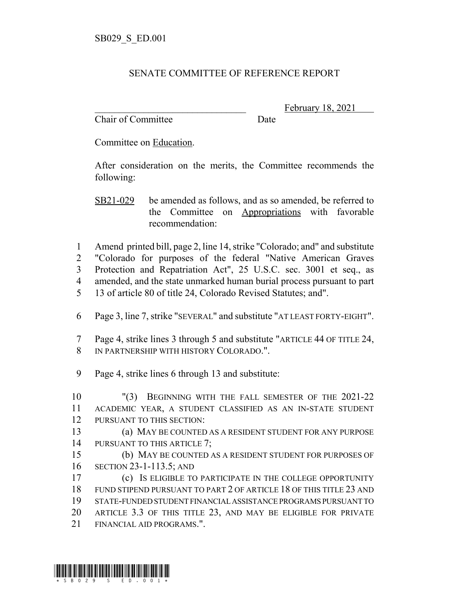## SENATE COMMITTEE OF REFERENCE REPORT

Chair of Committee Date

February 18, 2021

Committee on Education.

After consideration on the merits, the Committee recommends the following:

SB21-029 be amended as follows, and as so amended, be referred to the Committee on Appropriations with favorable recommendation:

 Amend printed bill, page 2, line 14, strike "Colorado; and" and substitute "Colorado for purposes of the federal "Native American Graves Protection and Repatriation Act", 25 U.S.C. sec. 3001 et seq., as amended, and the state unmarked human burial process pursuant to part 13 of article 80 of title 24, Colorado Revised Statutes; and".

- Page 3, line 7, strike "SEVERAL" and substitute "AT LEAST FORTY-EIGHT".
- Page 4, strike lines 3 through 5 and substitute "ARTICLE 44 OF TITLE 24, IN PARTNERSHIP WITH HISTORY COLORADO.".
- Page 4, strike lines 6 through 13 and substitute:

 "(3) BEGINNING WITH THE FALL SEMESTER OF THE 2021-22 ACADEMIC YEAR, A STUDENT CLASSIFIED AS AN IN-STATE STUDENT PURSUANT TO THIS SECTION:

 (a) MAY BE COUNTED AS A RESIDENT STUDENT FOR ANY PURPOSE 14 PURSUANT TO THIS ARTICLE 7;

 (b) MAY BE COUNTED AS A RESIDENT STUDENT FOR PURPOSES OF SECTION 23-1-113.5; AND

 (c) IS ELIGIBLE TO PARTICIPATE IN THE COLLEGE OPPORTUNITY FUND STIPEND PURSUANT TO PART 2 OF ARTICLE 18 OF THIS TITLE 23 AND STATE-FUNDED STUDENT FINANCIAL ASSISTANCE PROGRAMS PURSUANT TO ARTICLE 3.3 OF THIS TITLE 23, AND MAY BE ELIGIBLE FOR PRIVATE FINANCIAL AID PROGRAMS.".